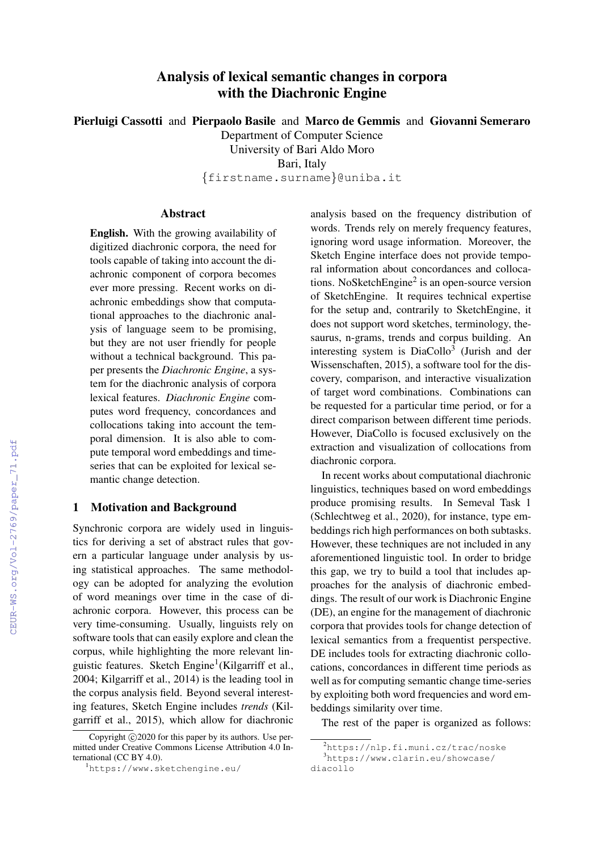# Analysis of lexical semantic changes in corpora with the Diachronic Engine

Pierluigi Cassotti and Pierpaolo Basile and Marco de Gemmis and Giovanni Semeraro

Department of Computer Science

University of Bari Aldo Moro

Bari, Italy

{firstname.surname}@uniba.it

# Abstract

English. With the growing availability of digitized diachronic corpora, the need for tools capable of taking into account the diachronic component of corpora becomes ever more pressing. Recent works on diachronic embeddings show that computational approaches to the diachronic analysis of language seem to be promising, but they are not user friendly for people without a technical background. This paper presents the *Diachronic Engine*, a system for the diachronic analysis of corpora lexical features. *Diachronic Engine* computes word frequency, concordances and collocations taking into account the temporal dimension. It is also able to compute temporal word embeddings and timeseries that can be exploited for lexical semantic change detection.

# 1 Motivation and Background

Synchronic corpora are widely used in linguistics for deriving a set of abstract rules that govern a particular language under analysis by using statistical approaches. The same methodology can be adopted for analyzing the evolution of word meanings over time in the case of diachronic corpora. However, this process can be very time-consuming. Usually, linguists rely on software tools that can easily explore and clean the corpus, while highlighting the more relevant linguistic features. Sketch Engine<sup>1</sup>(Kilgarriff et al., 2004; Kilgarriff et al., 2014) is the leading tool in the corpus analysis field. Beyond several interesting features, Sketch Engine includes *trends* (Kilgarriff et al., 2015), which allow for diachronic analysis based on the frequency distribution of words. Trends rely on merely frequency features, ignoring word usage information. Moreover, the Sketch Engine interface does not provide temporal information about concordances and collocations. NoSketchEngine<sup>2</sup> is an open-source version of SketchEngine. It requires technical expertise for the setup and, contrarily to SketchEngine, it does not support word sketches, terminology, thesaurus, n-grams, trends and corpus building. An interesting system is DiaCollo<sup>3</sup> (Jurish and der Wissenschaften, 2015), a software tool for the discovery, comparison, and interactive visualization of target word combinations. Combinations can be requested for a particular time period, or for a direct comparison between different time periods. However, DiaCollo is focused exclusively on the extraction and visualization of collocations from diachronic corpora.

In recent works about computational diachronic linguistics, techniques based on word embeddings produce promising results. In Semeval Task 1 (Schlechtweg et al., 2020), for instance, type embeddings rich high performances on both subtasks. However, these techniques are not included in any aforementioned linguistic tool. In order to bridge this gap, we try to build a tool that includes approaches for the analysis of diachronic embeddings. The result of our work is Diachronic Engine (DE), an engine for the management of diachronic corpora that provides tools for change detection of lexical semantics from a frequentist perspective. DE includes tools for extracting diachronic collocations, concordances in different time periods as well as for computing semantic change time-series by exploiting both word frequencies and word embeddings similarity over time.

The rest of the paper is organized as follows:

Copyright  $\odot$  2020 for this paper by its authors. Use permitted under Creative Commons License Attribution 4.0 International (CC BY 4.0).

<sup>1</sup>https://www.sketchengine.eu/

<sup>2</sup>https://nlp.fi.muni.cz/trac/noske <sup>3</sup>https://www.clarin.eu/showcase/

diacollo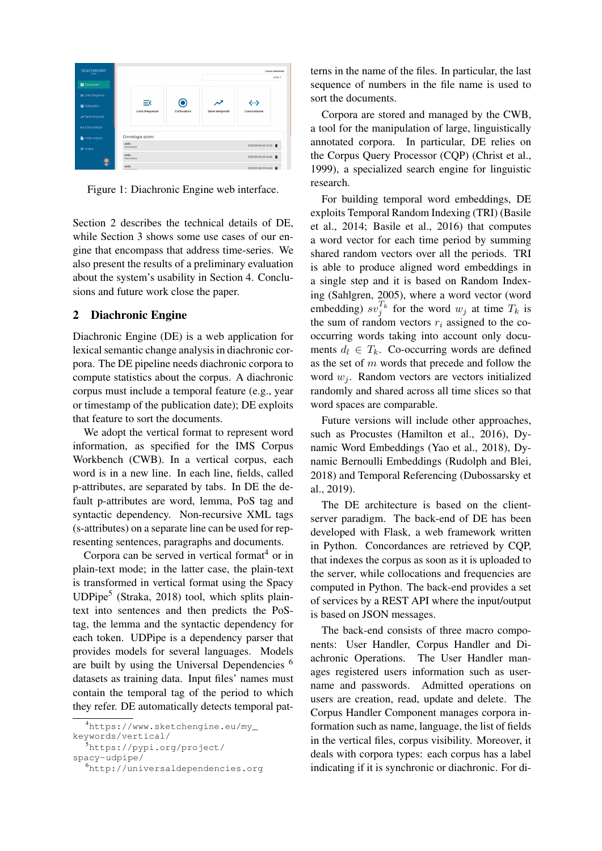

Figure 1: Diachronic Engine web interface.

Section 2 describes the technical details of DE, while Section 3 shows some use cases of our engine that encompass that address time-series. We also present the results of a preliminary evaluation about the system's usability in Section 4. Conclusions and future work close the paper.

# 2 Diachronic Engine

Diachronic Engine (DE) is a web application for lexical semantic change analysis in diachronic corpora. The DE pipeline needs diachronic corpora to compute statistics about the corpus. A diachronic corpus must include a temporal feature (e.g., year or timestamp of the publication date); DE exploits that feature to sort the documents.

We adopt the vertical format to represent word information, as specified for the IMS Corpus Workbench (CWB). In a vertical corpus, each word is in a new line. In each line, fields, called p-attributes, are separated by tabs. In DE the default p-attributes are word, lemma, PoS tag and syntactic dependency. Non-recursive XML tags (s-attributes) on a separate line can be used for representing sentences, paragraphs and documents.

Corpora can be served in vertical format<sup>4</sup> or in plain-text mode; in the latter case, the plain-text is transformed in vertical format using the Spacy UDPipe<sup>5</sup> (Straka, 2018) tool, which splits plaintext into sentences and then predicts the PoStag, the lemma and the syntactic dependency for each token. UDPipe is a dependency parser that provides models for several languages. Models are built by using the Universal Dependencies <sup>6</sup> datasets as training data. Input files' names must contain the temporal tag of the period to which they refer. DE automatically detects temporal patterns in the name of the files. In particular, the last sequence of numbers in the file name is used to sort the documents.

Corpora are stored and managed by the CWB, a tool for the manipulation of large, linguistically annotated corpora. In particular, DE relies on the Corpus Query Processor (CQP) (Christ et al., 1999), a specialized search engine for linguistic research.

For building temporal word embeddings, DE exploits Temporal Random Indexing (TRI) (Basile et al., 2014; Basile et al., 2016) that computes a word vector for each time period by summing shared random vectors over all the periods. TRI is able to produce aligned word embeddings in a single step and it is based on Random Indexing (Sahlgren, 2005), where a word vector (word embedding)  $sv_j^{T_k}$  for the word  $w_j$  at time  $T_k$  is the sum of random vectors  $r_i$  assigned to the cooccurring words taking into account only documents  $d_l \in T_k$ . Co-occurring words are defined as the set of  $m$  words that precede and follow the word  $w_i$ . Random vectors are vectors initialized randomly and shared across all time slices so that word spaces are comparable.

Future versions will include other approaches, such as Procustes (Hamilton et al., 2016), Dynamic Word Embeddings (Yao et al., 2018), Dynamic Bernoulli Embeddings (Rudolph and Blei, 2018) and Temporal Referencing (Dubossarsky et al., 2019).

The DE architecture is based on the clientserver paradigm. The back-end of DE has been developed with Flask, a web framework written in Python. Concordances are retrieved by CQP, that indexes the corpus as soon as it is uploaded to the server, while collocations and frequencies are computed in Python. The back-end provides a set of services by a REST API where the input/output is based on JSON messages.

The back-end consists of three macro components: User Handler, Corpus Handler and Diachronic Operations. The User Handler manages registered users information such as username and passwords. Admitted operations on users are creation, read, update and delete. The Corpus Handler Component manages corpora information such as name, language, the list of fields in the vertical files, corpus visibility. Moreover, it deals with corpora types: each corpus has a label indicating if it is synchronic or diachronic. For di-

<sup>4</sup>https://www.sketchengine.eu/my\_

keywords/vertical/

<sup>5</sup>https://pypi.org/project/

spacy-udpipe/

<sup>6</sup>http://universaldependencies.org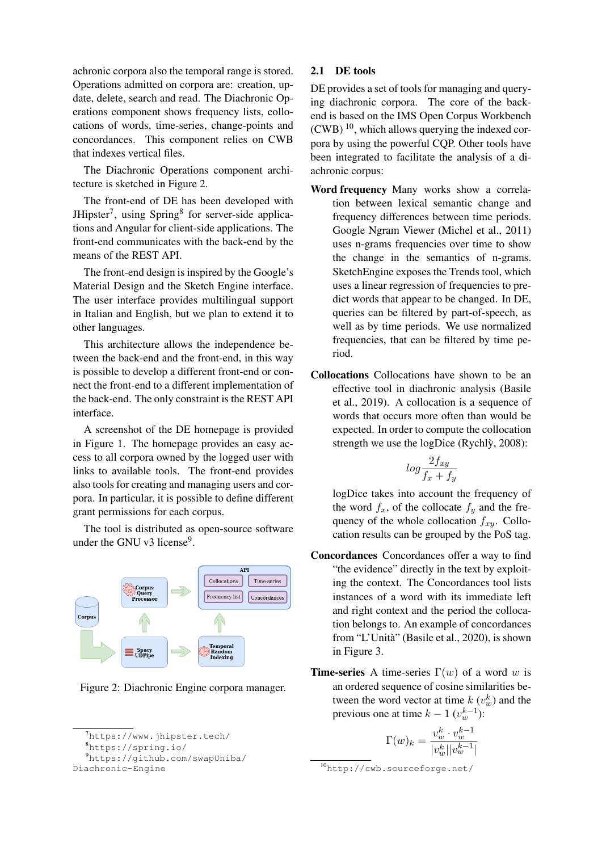achronic corpora also the temporal range is stored. Operations admitted on corpora are: creation, update, delete, search and read. The Diachronic Operations component shows frequency lists, collocations of words, time-series, change-points and concordances. This component relies on CWB that indexes vertical files.

The Diachronic Operations component architecture is sketched in Figure 2.

The front-end of DE has been developed with JHipster<sup>7</sup>, using Spring<sup>8</sup> for server-side applications and Angular for client-side applications. The front-end communicates with the back-end by the means of the REST API.

The front-end design is inspired by the Google's Material Design and the Sketch Engine interface. The user interface provides multilingual support in Italian and English, but we plan to extend it to other languages.

This architecture allows the independence between the back-end and the front-end, in this way is possible to develop a different front-end or connect the front-end to a different implementation of the back-end. The only constraint is the REST API interface.

A screenshot of the DE homepage is provided in Figure 1. The homepage provides an easy access to all corpora owned by the logged user with links to available tools. The front-end provides also tools for creating and managing users and corpora. In particular, it is possible to define different grant permissions for each corpus.

The tool is distributed as open-source software under the GNU v3 license<sup>9</sup>.



Figure 2: Diachronic Engine corpora manager.

# Diachronic-Engine

### 2.1 DE tools

DE provides a set of tools for managing and querying diachronic corpora. The core of the backend is based on the IMS Open Corpus Workbench  $(CWB)^{10}$ , which allows querying the indexed corpora by using the powerful CQP. Other tools have been integrated to facilitate the analysis of a diachronic corpus:

- Word frequency Many works show a correlation between lexical semantic change and frequency differences between time periods. Google Ngram Viewer (Michel et al., 2011) uses n-grams frequencies over time to show the change in the semantics of n-grams. SketchEngine exposes the Trends tool, which uses a linear regression of frequencies to predict words that appear to be changed. In DE, queries can be filtered by part-of-speech, as well as by time periods. We use normalized frequencies, that can be filtered by time period.
- Collocations Collocations have shown to be an effective tool in diachronic analysis (Basile et al., 2019). A collocation is a sequence of words that occurs more often than would be expected. In order to compute the collocation strength we use the  $logDice$  (Rychl $\dot{y}$ , 2008):

$$
log \frac{2f_{xy}}{f_x + f_y}
$$

logDice takes into account the frequency of the word  $f_x$ , of the collocate  $f_y$  and the frequency of the whole collocation  $f_{xy}$ . Collocation results can be grouped by the PoS tag.

- Concordances Concordances offer a way to find "the evidence" directly in the text by exploiting the context. The Concordances tool lists instances of a word with its immediate left and right context and the period the collocation belongs to. An example of concordances from "L'Unita" (Basile et al., 2020), is shown ` in Figure 3.
- **Time-series** A time-series  $\Gamma(w)$  of a word w is an ordered sequence of cosine similarities between the word vector at time  $k(v_w^k)$  and the previous one at time  $k - 1$   $(v_w^{k-1})$ :

$$
\Gamma(w)_k = \frac{v_w^k \cdot v_w^{k-1}}{|v_w^k| |v_w^{k-1}|}
$$

 $^7$ https://www.jhipster.tech/

<sup>8</sup>https://spring.io/

<sup>9</sup>https://github.com/swapUniba/

<sup>10</sup>http://cwb.sourceforge.net/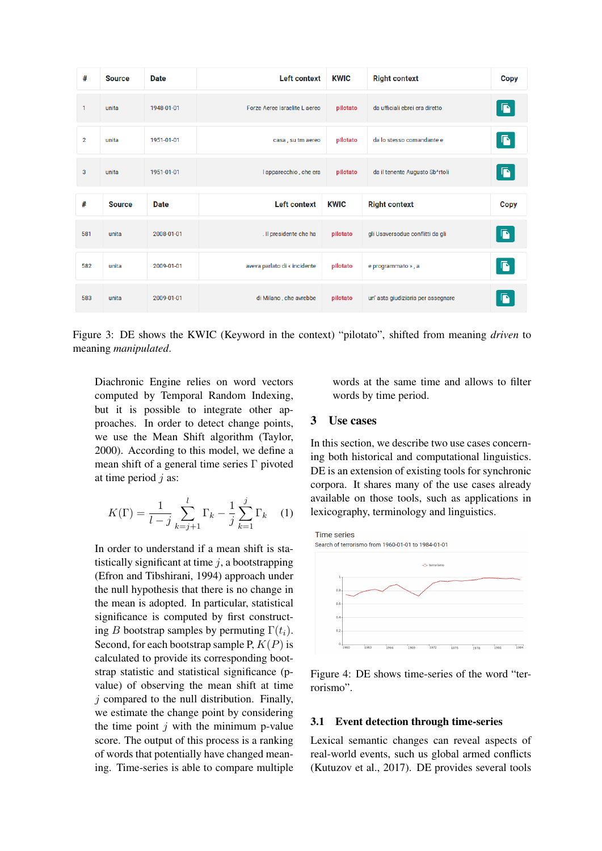| #              | <b>Source</b> | <b>Date</b> | <b>Left context</b>           | <b>KWIC</b> | <b>Right context</b>             | <b>Copy</b>    |
|----------------|---------------|-------------|-------------------------------|-------------|----------------------------------|----------------|
| $\mathbf{1}$   | unita         | 1948-01-01  | Forze Aeree Israelite L aereo | pilotato    | da ufficiali ebrei era diretto   | $\blacksquare$ |
| $\overline{2}$ | unita         | 1951-01-01  | casa, su tm aereo             | pilotato    | da lo stesso comandante e        | $\blacksquare$ |
| 3              | unita         | 1951-01-01  | I apparecchio, che era        | pilotato    | da il tenente Augusto Sb^rtoli   | G              |
| #              | <b>Source</b> | <b>Date</b> | <b>Left context</b>           | <b>KWIC</b> | <b>Right context</b>             | Copy           |
|                |               |             |                               |             |                                  |                |
| 581            | unita         | 2008-01-01  | . Il presidente che ha        | pilotato    | gli Usaversodue conflitti da gli | $\blacksquare$ |
| 582            | unita         | 2009-01-01  | aveva parlato di « incidente  | pilotato    | e programmato », a               | $\blacksquare$ |

Figure 3: DE shows the KWIC (Keyword in the context) "pilotato", shifted from meaning *driven* to meaning *manipulated*.

Diachronic Engine relies on word vectors computed by Temporal Random Indexing, but it is possible to integrate other approaches. In order to detect change points, we use the Mean Shift algorithm (Taylor, 2000). According to this model, we define a mean shift of a general time series Γ pivoted at time period  $i$  as:

$$
K(\Gamma) = \frac{1}{l-j} \sum_{k=j+1}^{l} \Gamma_k - \frac{1}{j} \sum_{k=1}^{j} \Gamma_k \quad (1)
$$

In order to understand if a mean shift is statistically significant at time  $j$ , a bootstrapping (Efron and Tibshirani, 1994) approach under the null hypothesis that there is no change in the mean is adopted. In particular, statistical significance is computed by first constructing B bootstrap samples by permuting  $\Gamma(t_i)$ . Second, for each bootstrap sample P,  $K(P)$  is calculated to provide its corresponding bootstrap statistic and statistical significance (pvalue) of observing the mean shift at time  $i$  compared to the null distribution. Finally, we estimate the change point by considering the time point  $j$  with the minimum p-value score. The output of this process is a ranking of words that potentially have changed meaning. Time-series is able to compare multiple words at the same time and allows to filter words by time period.

# 3 Use cases

In this section, we describe two use cases concerning both historical and computational linguistics. DE is an extension of existing tools for synchronic corpora. It shares many of the use cases already available on those tools, such as applications in lexicography, terminology and linguistics.



Figure 4: DE shows time-series of the word "terrorismo".

# 3.1 Event detection through time-series

Lexical semantic changes can reveal aspects of real-world events, such us global armed conflicts (Kutuzov et al., 2017). DE provides several tools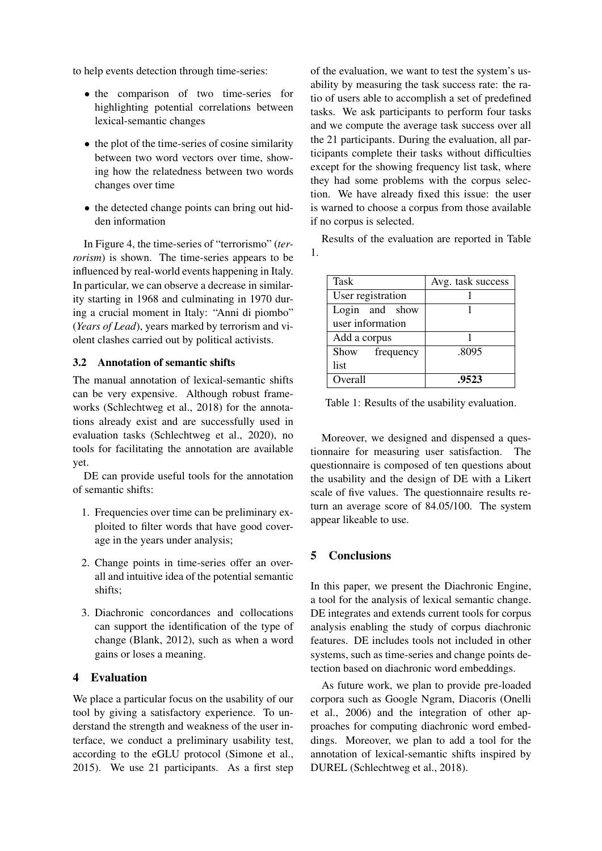to help events detection through time-series:

- the comparison of two time-series for highlighting potential correlations between lexical-semantic changes
- the plot of the time-series of cosine similarity between two word vectors over time, showing how the relatedness between two words changes over time
- the detected change points can bring out hidden information

In Figure 4, the time-series of "terrorismo" (*terrorism*) is shown. The time-series appears to be influenced by real-world events happening in Italy. In particular, we can observe a decrease in similarity starting in 1968 and culminating in 1970 during a crucial moment in Italy: "Anni di piombo" (*Years of Lead*), years marked by terrorism and violent clashes carried out by political activists.

#### 3.2 Annotation of semantic shifts

The manual annotation of lexical-semantic shifts can be very expensive. Although robust frameworks (Schlechtweg et al., 2018) for the annotations already exist and are successfully used in evaluation tasks (Schlechtweg et al., 2020), no tools for facilitating the annotation are available yet.

DE can provide useful tools for the annotation of semantic shifts:

- 1. Frequencies over time can be preliminary exploited to filter words that have good coverage in the years under analysis;
- 2. Change points in time-series offer an overall and intuitive idea of the potential semantic shifts;
- 3. Diachronic concordances and collocations can support the identification of the type of change (Blank, 2012), such as when a word gains or loses a meaning.

## 4 Evaluation

We place a particular focus on the usability of our tool by giving a satisfactory experience. To understand the strength and weakness of the user interface, we conduct a preliminary usability test, according to the eGLU protocol (Simone et al., 2015). We use 21 participants. As a first step

of the evaluation, we want to test the system's usability by measuring the task success rate: the ratio of users able to accomplish a set of predefined tasks. We ask participants to perform four tasks and we compute the average task success over all the 21 participants. During the evaluation, all participants complete their tasks without difficulties except for the showing frequency list task, where they had some problems with the corpus selection. We have already fixed this issue: the user is warned to choose a corpus from those available if no corpus is selected.

Results of the evaluation are reported in Table 1.

| <b>Task</b>       | Avg. task success |  |
|-------------------|-------------------|--|
| User registration |                   |  |
| Login and show    |                   |  |
| user information  |                   |  |
| Add a corpus      |                   |  |
| Show frequency    | .8095             |  |
| list              |                   |  |
| Overall           | .9523             |  |

Table 1: Results of the usability evaluation.

Moreover, we designed and dispensed a questionnaire for measuring user satisfaction. The questionnaire is composed of ten questions about the usability and the design of DE with a Likert scale of five values. The questionnaire results return an average score of 84.05/100. The system appear likeable to use.

#### 5 Conclusions

In this paper, we present the Diachronic Engine, a tool for the analysis of lexical semantic change. DE integrates and extends current tools for corpus analysis enabling the study of corpus diachronic features. DE includes tools not included in other systems, such as time-series and change points detection based on diachronic word embeddings.

As future work, we plan to provide pre-loaded corpora such as Google Ngram, Diacoris (Onelli et al., 2006) and the integration of other approaches for computing diachronic word embeddings. Moreover, we plan to add a tool for the annotation of lexical-semantic shifts inspired by DUREL (Schlechtweg et al., 2018).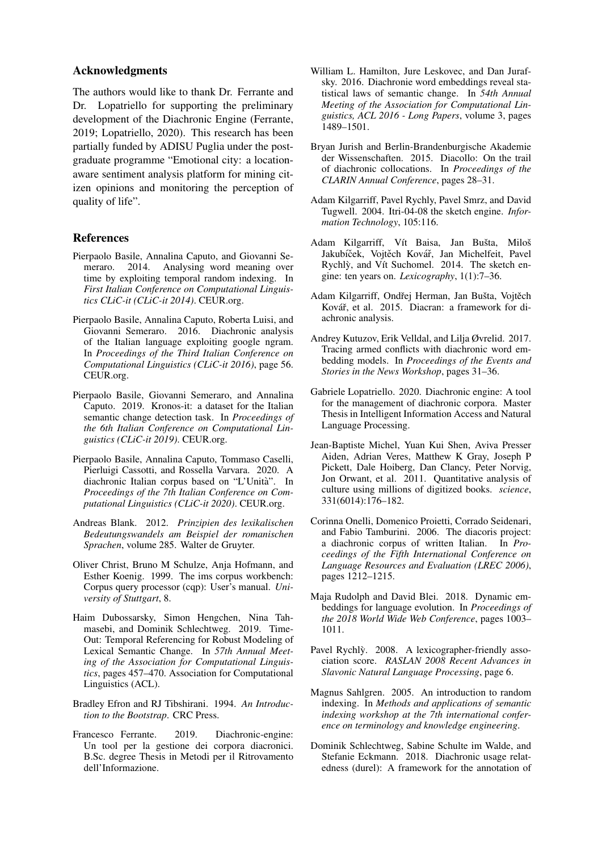#### Acknowledgments

The authors would like to thank Dr. Ferrante and Dr. Lopatriello for supporting the preliminary development of the Diachronic Engine (Ferrante, 2019; Lopatriello, 2020). This research has been partially funded by ADISU Puglia under the postgraduate programme "Emotional city: a locationaware sentiment analysis platform for mining citizen opinions and monitoring the perception of quality of life".

#### References

- Pierpaolo Basile, Annalina Caputo, and Giovanni Semeraro. 2014. Analysing word meaning over time by exploiting temporal random indexing. In *First Italian Conference on Computational Linguistics CLiC-it (CLiC-it 2014)*. CEUR.org.
- Pierpaolo Basile, Annalina Caputo, Roberta Luisi, and Giovanni Semeraro. 2016. Diachronic analysis of the Italian language exploiting google ngram. In *Proceedings of the Third Italian Conference on Computational Linguistics (CLiC-it 2016)*, page 56. CEUR.org.
- Pierpaolo Basile, Giovanni Semeraro, and Annalina Caputo. 2019. Kronos-it: a dataset for the Italian semantic change detection task. In *Proceedings of the 6th Italian Conference on Computational Linguistics (CLiC-it 2019)*. CEUR.org.
- Pierpaolo Basile, Annalina Caputo, Tommaso Caselli, Pierluigi Cassotti, and Rossella Varvara. 2020. A diachronic Italian corpus based on "L'Unita". In ` *Proceedings of the 7th Italian Conference on Computational Linguistics (CLiC-it 2020)*. CEUR.org.
- Andreas Blank. 2012. *Prinzipien des lexikalischen Bedeutungswandels am Beispiel der romanischen Sprachen*, volume 285. Walter de Gruyter.
- Oliver Christ, Bruno M Schulze, Anja Hofmann, and Esther Koenig. 1999. The ims corpus workbench: Corpus query processor (cqp): User's manual. *University of Stuttgart*, 8.
- Haim Dubossarsky, Simon Hengchen, Nina Tahmasebi, and Dominik Schlechtweg. 2019. Time-Out: Temporal Referencing for Robust Modeling of Lexical Semantic Change. In *57th Annual Meeting of the Association for Computational Linguistics*, pages 457–470. Association for Computational Linguistics (ACL).
- Bradley Efron and RJ Tibshirani. 1994. *An Introduction to the Bootstrap*. CRC Press.
- Francesco Ferrante. 2019. Diachronic-engine: Un tool per la gestione dei corpora diacronici. B.Sc. degree Thesis in Metodi per il Ritrovamento dell'Informazione.
- William L. Hamilton, Jure Leskovec, and Dan Jurafsky. 2016. Diachronie word embeddings reveal statistical laws of semantic change. In *54th Annual Meeting of the Association for Computational Linguistics, ACL 2016 - Long Papers*, volume 3, pages 1489–1501.
- Bryan Jurish and Berlin-Brandenburgische Akademie der Wissenschaften. 2015. Diacollo: On the trail of diachronic collocations. In *Proceedings of the CLARIN Annual Conference*, pages 28–31.
- Adam Kilgarriff, Pavel Rychly, Pavel Smrz, and David Tugwell. 2004. Itri-04-08 the sketch engine. *Information Technology*, 105:116.
- Adam Kilgarriff, Vít Baisa, Jan Bušta, Miloš Jakubíček, Vojtěch Kovář, Jan Michelfeit, Pavel Rychlỳ, and Vít Suchomel. 2014. The sketch engine: ten years on. *Lexicography*, 1(1):7–36.
- Adam Kilgarriff, Ondřej Herman, Jan Bušta, Vojtěch Kovář, et al. 2015. Diacran: a framework for diachronic analysis.
- Andrey Kutuzov, Erik Velldal, and Lilja Øvrelid. 2017. Tracing armed conflicts with diachronic word embedding models. In *Proceedings of the Events and Stories in the News Workshop*, pages 31–36.
- Gabriele Lopatriello. 2020. Diachronic engine: A tool for the management of diachronic corpora. Master Thesis in Intelligent Information Access and Natural Language Processing.
- Jean-Baptiste Michel, Yuan Kui Shen, Aviva Presser Aiden, Adrian Veres, Matthew K Gray, Joseph P Pickett, Dale Hoiberg, Dan Clancy, Peter Norvig, Jon Orwant, et al. 2011. Quantitative analysis of culture using millions of digitized books. *science*, 331(6014):176–182.
- Corinna Onelli, Domenico Proietti, Corrado Seidenari, and Fabio Tamburini. 2006. The diacoris project: a diachronic corpus of written Italian. In *Proceedings of the Fifth International Conference on Language Resources and Evaluation (LREC 2006)*, pages 1212–1215.
- Maja Rudolph and David Blei. 2018. Dynamic embeddings for language evolution. In *Proceedings of the 2018 World Wide Web Conference*, pages 1003– 1011.
- Pavel Rychly. 2008. A lexicographer-friendly association score. *RASLAN 2008 Recent Advances in Slavonic Natural Language Processing*, page 6.
- Magnus Sahlgren. 2005. An introduction to random indexing. In *Methods and applications of semantic indexing workshop at the 7th international conference on terminology and knowledge engineering*.
- Dominik Schlechtweg, Sabine Schulte im Walde, and Stefanie Eckmann. 2018. Diachronic usage relatedness (durel): A framework for the annotation of